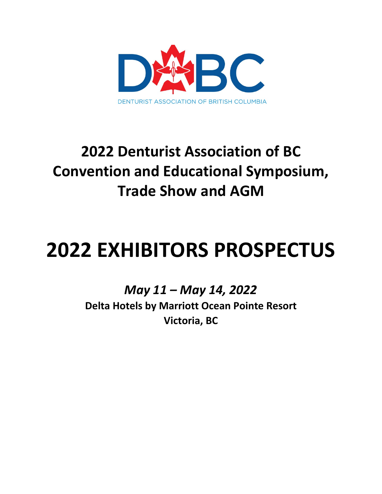

## **2022 Denturist Association of BC Convention and Educational Symposium, Trade Show and AGM**

# **2022 EXHIBITORS PROSPECTUS**

*May 11 – May 14, 2022*

**Delta Hotels by Marriott Ocean Pointe Resort Victoria, BC**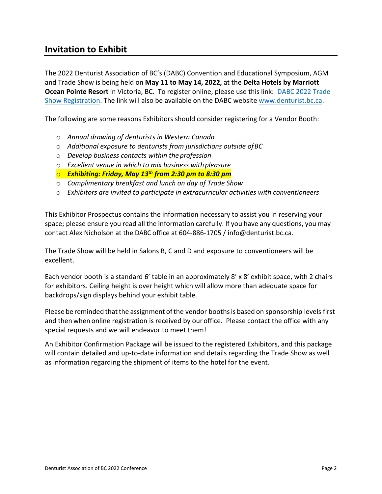## **Invitation to Exhibit**

The 2022 Denturist Association of BC's (DABC) Convention and Educational Symposium, AGM and Trade Show is being held on **May 11 to May 14, 2022,** at the **Delta Hotels by Marriott Ocean Pointe Resort** in Victoria, BC. To register online, please use this link: [DABC 2022 Trade](https://attendify.co/2022-dabc-convention-trade-show-and-agm-jNHsWic)  [Show Registration.](https://attendify.co/2022-dabc-convention-trade-show-and-agm-jNHsWic) The link will also be available on the DABC website [www.denturist.bc.ca.](http://www.denturist.bc.ca/)

The following are some reasons Exhibitors should consider registering for a Vendor Booth:

- o *Annual drawing of denturists in Western Canada*
- o *Additional exposure to denturists from jurisdictions outside ofBC*
- o *Develop business contacts within the profession*
- o *Excellent venue in which to mix business withpleasure*
- o *Exhibiting: Friday, May 13th from 2:30 pm to 8:30 pm*
- o *Complimentary breakfast and lunch on day of Trade Show*
- o *Exhibitors are invited to participate in extracurricular activities with conventioneers*

This Exhibitor Prospectus contains the information necessary to assist you in reserving your space; please ensure you read all the information carefully. If you have any questions, you may contact Alex Nicholson at the DABC office at 604-886-1705 / info@denturist.bc.ca.

The Trade Show will be held in Salons B, C and D and exposure to conventioneers will be excellent.

Each vendor booth is a standard 6' table in an approximately 8' x 8' exhibit space, with 2 chairs for exhibitors. Ceiling height is over height which will allow more than adequate space for backdrops/sign displays behind your exhibit table.

Please be reminded that the assignment of the vendor booths is based on sponsorship levels first and then when online registration is received by ouroffice. Please contact the office with any special requests and we will endeavor to meet them!

An Exhibitor Confirmation Package will be issued to the registered Exhibitors, and this package will contain detailed and up-to-date information and details regarding the Trade Show as well as information regarding the shipment of items to the hotel for the event.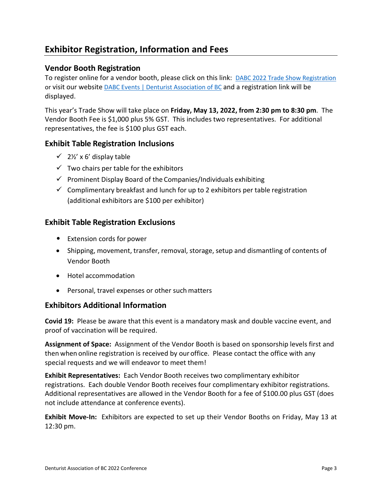## **Exhibitor Registration, Information and Fees**

### **Vendor Booth Registration**

To register online for a vendor booth, please click on this link: [DABC 2022 Trade Show Registration](https://attendify.co/2022-dabc-convention-trade-show-and-agm-jNHsWic) or visit our website [DABC Events | Denturist Association of BC](https://denturist.bc.ca/events/dabc-events/) and a registration link will be displayed.

This year's Trade Show will take place on **Friday, May 13, 2022, from 2:30 pm to 8:30 pm**. The Vendor Booth Fee is \$1,000 plus 5% GST. This includes two representatives. For additional representatives, the fee is \$100 plus GST each.

#### **Exhibit Table Registration Inclusions**

- $\checkmark$  2½' x 6' display table
- $\checkmark$  Two chairs per table for the exhibitors
- $\checkmark$  Prominent Display Board of the Companies/Individuals exhibiting
- $\checkmark$  Complimentary breakfast and lunch for up to 2 exhibitors per table registration (additional exhibitors are \$100 per exhibitor)

#### **Exhibit Table Registration Exclusions**

- Extension cords for power
- Shipping, movement, transfer, removal, storage, setup and dismantling of contents of Vendor Booth
- Hotel accommodation
- Personal, travel expenses or other such matters

#### **Exhibitors Additional Information**

**Covid 19:** Please be aware that this event is a mandatory mask and double vaccine event, and proof of vaccination will be required.

**Assignment of Space:** Assignment of the Vendor Booth is based on sponsorship levels first and then when online registration is received by ouroffice. Please contact the office with any special requests and we will endeavor to meet them!

**Exhibit Representatives:** Each Vendor Booth receives two complimentary exhibitor registrations. Each double Vendor Booth receives four complimentary exhibitor registrations. Additional representatives are allowed in the Vendor Booth for a fee of \$100.00 plus GST (does not include attendance at conference events).

**Exhibit Move-In:** Exhibitors are expected to set up their Vendor Booths on Friday, May 13 at 12:30 pm.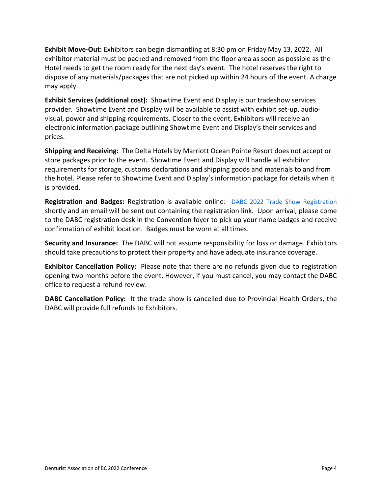**Exhibit Move-Out:** Exhibitors can begin dismantling at 8:30 pm on Friday May 13, 2022. All exhibitor material must be packed and removed from the floor area as soon as possible as the Hotel needs to get the room ready for the next day's event. The hotel reserves the right to dispose of any materials/packages that are not picked up within 24 hours of the event. A charge may apply.

**Exhibit Services (additional cost):** Showtime Event and Display is our tradeshow services provider. Showtime Event and Display will be available to assist with exhibit set-up, audiovisual, power and shipping requirements. Closer to the event, Exhibitors will receive an electronic information package outlining Showtime Event and Display's their services and prices.

**Shipping and Receiving:** The Delta Hotels by Marriott Ocean Pointe Resort does not accept or store packages prior to the event. Showtime Event and Display will handle all exhibitor requirements for storage, customs declarations and shipping goods and materials to and from the hotel. Please refer to Showtime Event and Display's information package for details when it is provided.

**Registration and Badges:** Registration is available online: [DABC 2022 Trade Show Registration](https://attendify.co/2022-dabc-convention-trade-show-and-agm-jNHsWic) shortly and an email will be sent out containing the registration link. Upon arrival, please come to the DABC registration desk in the Convention foyer to pick up your name badges and receive confirmation of exhibit location. Badges must be worn at all times.

**Security and Insurance:** The DABC will not assume responsibility for loss or damage. Exhibitors should take precautions to protect their property and have adequate insurance coverage.

**Exhibitor Cancellation Policy:** Please note that there are no refunds given due to registration opening two months before the event. However, if you must cancel, you may contact the DABC office to request a refund review.

**DABC Cancellation Policy:** It the trade show is cancelled due to Provincial Health Orders, the DABC will provide full refunds to Exhibitors.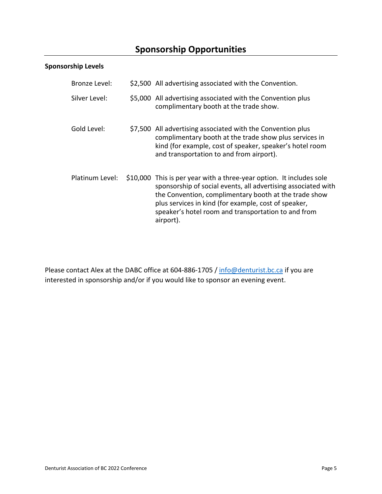## **Sponsorship Opportunities**

#### **Sponsorship Levels**

| Bronze Level:   |          | \$2,500 All advertising associated with the Convention.                                                                                                                                                                                                                                                           |
|-----------------|----------|-------------------------------------------------------------------------------------------------------------------------------------------------------------------------------------------------------------------------------------------------------------------------------------------------------------------|
| Silver Level:   |          | \$5,000 All advertising associated with the Convention plus<br>complimentary booth at the trade show.                                                                                                                                                                                                             |
| Gold Level:     |          | \$7,500 All advertising associated with the Convention plus<br>complimentary booth at the trade show plus services in<br>kind (for example, cost of speaker, speaker's hotel room<br>and transportation to and from airport).                                                                                     |
| Platinum Level: | \$10,000 | This is per year with a three-year option. It includes sole<br>sponsorship of social events, all advertising associated with<br>the Convention, complimentary booth at the trade show<br>plus services in kind (for example, cost of speaker,<br>speaker's hotel room and transportation to and from<br>airport). |

Please contact Alex at the DABC office at 604-886-1705 / [info@denturist.bc.ca](mailto:info@denturist.bc.ca) if you are interested in sponsorship and/or if you would like to sponsor an evening event.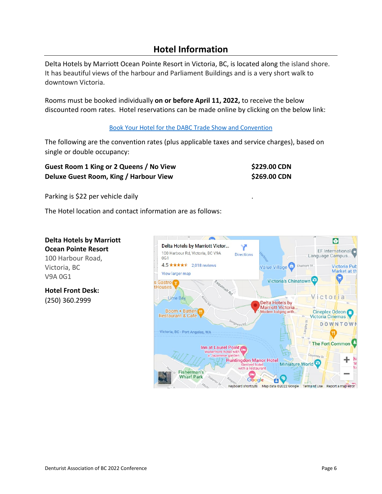## **Hotel Information**

Delta Hotels by Marriott Ocean Pointe Resort in Victoria, BC, is located along the island shore. It has beautiful views of the harbour and Parliament Buildings and is a very short walk to downtown Victoria.

Rooms must be booked individually **on or before April 11, 2022,** to receive the below discounted room rates. Hotel reservations can be made online by clicking on the below link:

#### [Book Your Hotel for the DABC Trade Show and Convention](https://www.marriott.com/event-reservations/reservation-link.mi?id=1635291632944&key=GRP&app=resvlink)

The following are the convention rates (plus applicable taxes and service charges), based on single or double occupancy:

| Guest Room 1 King or 2 Queens / No View | <b>\$229.00 CDN</b> |
|-----------------------------------------|---------------------|
| Deluxe Guest Room, King / Harbour View  | \$269.00 CDN        |

Parking is \$22 per vehicle daily

The Hotel location and contact information are as follows:

**Delta Hotels by Marriott Ocean Pointe Resort** 100 Harbour Road, Victoria, BC V9A 0G1

**Hotel Front Desk:** (250) [360.2999](tel:2504938221)